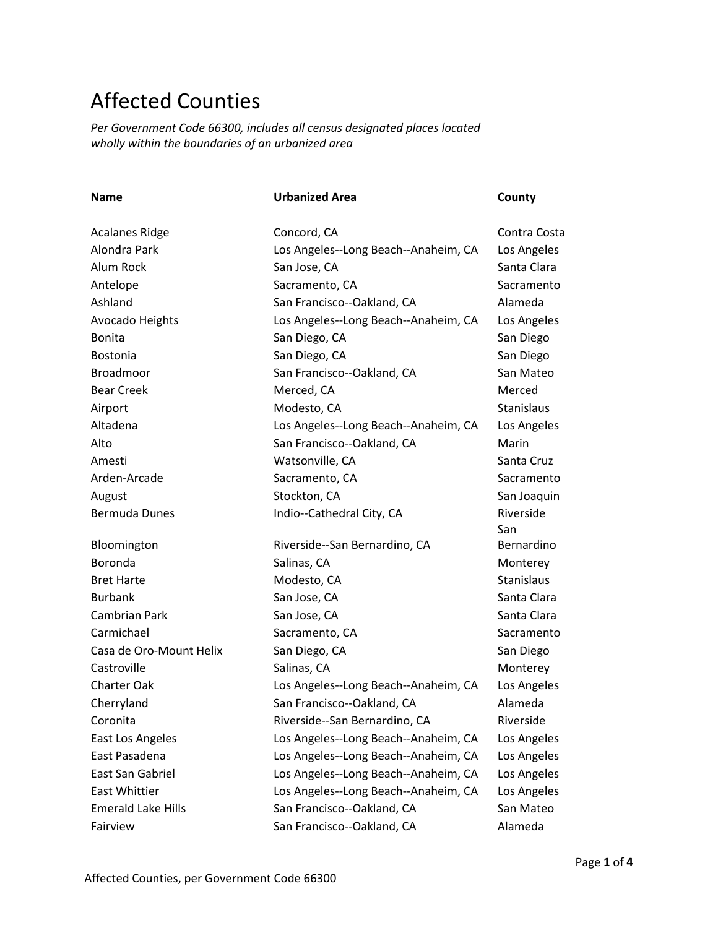## Affected Counties

*Per Government Code 66300, includes all census designated places located wholly within the boundaries of an urbanized area*

| <b>Name</b>               | <b>Urbanized Area</b>                | County            |
|---------------------------|--------------------------------------|-------------------|
|                           |                                      |                   |
| <b>Acalanes Ridge</b>     | Concord, CA                          | Contra Costa      |
| Alondra Park              | Los Angeles--Long Beach--Anaheim, CA | Los Angeles       |
| Alum Rock                 | San Jose, CA                         | Santa Clara       |
| Antelope                  | Sacramento, CA                       | Sacramento        |
| Ashland                   | San Francisco--Oakland, CA           | Alameda           |
| Avocado Heights           | Los Angeles--Long Beach--Anaheim, CA | Los Angeles       |
| <b>Bonita</b>             | San Diego, CA                        | San Diego         |
| <b>Bostonia</b>           | San Diego, CA                        | San Diego         |
| <b>Broadmoor</b>          | San Francisco--Oakland, CA           | San Mateo         |
| <b>Bear Creek</b>         | Merced, CA                           | Merced            |
| Airport                   | Modesto, CA                          | <b>Stanislaus</b> |
| Altadena                  | Los Angeles--Long Beach--Anaheim, CA | Los Angeles       |
| Alto                      | San Francisco--Oakland, CA           | Marin             |
| Amesti                    | Watsonville, CA                      | Santa Cruz        |
| Arden-Arcade              | Sacramento, CA                       | Sacramento        |
| August                    | Stockton, CA                         | San Joaquin       |
| <b>Bermuda Dunes</b>      | Indio--Cathedral City, CA            | Riverside         |
|                           |                                      | San               |
| Bloomington               | Riverside--San Bernardino, CA        | Bernardino        |
| Boronda                   | Salinas, CA                          | Monterey          |
| <b>Bret Harte</b>         | Modesto, CA                          | <b>Stanislaus</b> |
| <b>Burbank</b>            | San Jose, CA                         | Santa Clara       |
| <b>Cambrian Park</b>      | San Jose, CA                         | Santa Clara       |
| Carmichael                | Sacramento, CA                       | Sacramento        |
| Casa de Oro-Mount Helix   | San Diego, CA                        | San Diego         |
| Castroville               | Salinas, CA                          | Monterey          |
| <b>Charter Oak</b>        | Los Angeles--Long Beach--Anaheim, CA | Los Angeles       |
| Cherryland                | San Francisco--Oakland, CA           | Alameda           |
| Coronita                  | Riverside--San Bernardino, CA        | Riverside         |
| East Los Angeles          | Los Angeles--Long Beach--Anaheim, CA | Los Angeles       |
| East Pasadena             | Los Angeles--Long Beach--Anaheim, CA | Los Angeles       |
| East San Gabriel          | Los Angeles--Long Beach--Anaheim, CA | Los Angeles       |
| East Whittier             | Los Angeles--Long Beach--Anaheim, CA | Los Angeles       |
| <b>Emerald Lake Hills</b> | San Francisco--Oakland, CA           | San Mateo         |
| Fairview                  | San Francisco--Oakland, CA           | Alameda           |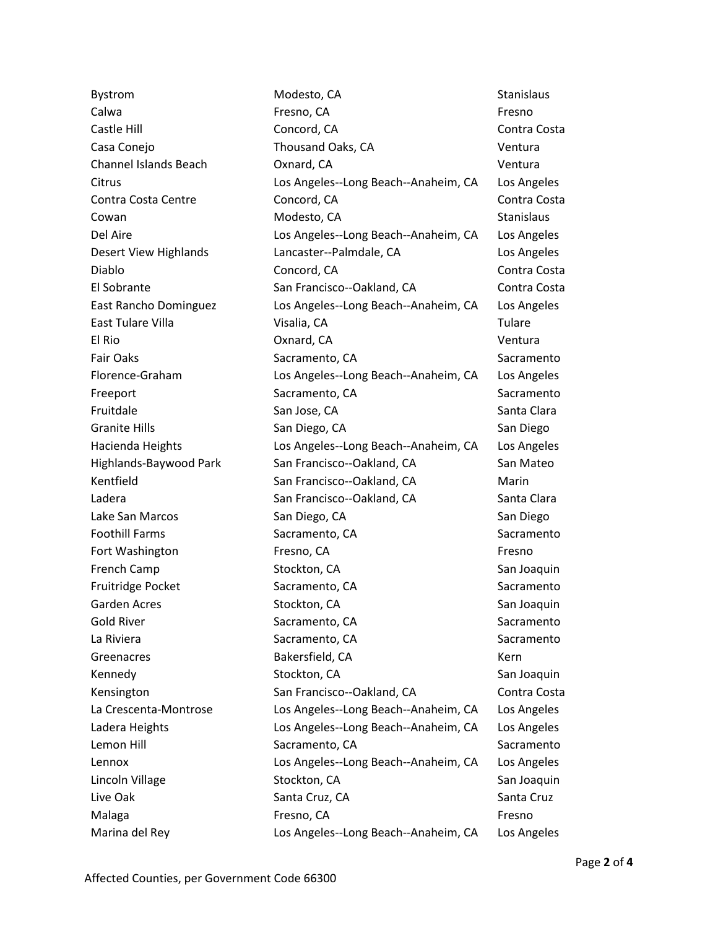Bystrom Modesto, CA Stanislaus Modesto, CA Calwa **Fresno, CA** Fresno, CA **Fresno, CA** Fresno Castle Hill Concord, CA Contra Costa Casa Conejo Thousand Oaks, CA Ventura Channel Islands Beach Oxnard, CA Ventura Citrus Los Angeles--Long Beach--Anaheim, CA Los Angeles Contra Costa Centre Concord, CA Contra Costa Cowan **Modesto, CA** Stanislaus Cowan Stanislaus Del Aire **Los Angeles--Long Beach--Anaheim, CA** Los Angeles Desert View Highlands Lancaster--Palmdale, CA Los Angeles Diablo Concord, CA Contra Costa El Sobrante San Francisco--Oakland, CA Contra Costa East Rancho Dominguez Los Angeles--Long Beach--Anaheim, CA Los Angeles East Tulare Villa Visalia, CA Tulare El Rio Oxnard, CA Ventura Fair Oaks Sacramento, CA Sacramento, CA Sacramento, CA Sacramento Florence-Graham Los Angeles--Long Beach--Anaheim, CA Los Angeles Freeport Sacramento, CA Sacramento, CA Sacramento Fruitdale San Jose, CA Santa Clara Granite Hills **San Diego, CA** San Diego, CA San Diego Hacienda Heights Los Angeles--Long Beach--Anaheim, CA Los Angeles Highlands-Baywood Park San Francisco--Oakland, CA San Mateo Kentfield San Francisco--Oakland, CA Marin Ladera **San Francisco--Oakland, CA** Santa Clara Lake San Marcos San Diego, CA San Diego Foothill Farms **Sacramento, CA** Sacramento, CA Sacramento Fort Washington **Fresno, CA** Fresno, CA **Fresno**, CA **Fresno** French Camp Stockton, CA San Joaquin Fruitridge Pocket Sacramento, CA Sacramento, CA Sacramento Garden Acres **Stockton, CA** Stockton, CA San Joaquin Gold River **Sacramento, CA** Sacramento, CA Sacramento, CA Sacramento, CA Sacramento La Riviera **Sacramento, CA** Sacramento, CA Sacramento, CA Sacramento Greenacres **Bakersfield, CA CONFIDENT BAKERS** BAKERS **CONFIDENT** BAKERS Kennedy **Stockton, CA** San Joaquin Stockton, CA Kensington **San Francisco--Oakland, CA** Contra Costa La Crescenta-Montrose Los Angeles--Long Beach--Anaheim, CA Los Angeles Ladera Heights Los Angeles--Long Beach--Anaheim, CA Los Angeles Lemon Hill Sacramento, CA Sacramento, CA Sacramento Lennox Los Angeles--Long Beach--Anaheim, CA Los Angeles Lincoln Village Stockton, CA San Joaquin Live Oak Santa Cruz, CA Santa Cruz, CA Santa Cruz, CA Santa Cruz Malaga **Fresno, CA** Fresno, CA **Fresno**, CA **Fresno**, CA **Fresno** Marina del Rey Los Angeles--Long Beach--Anaheim, CA Los Angeles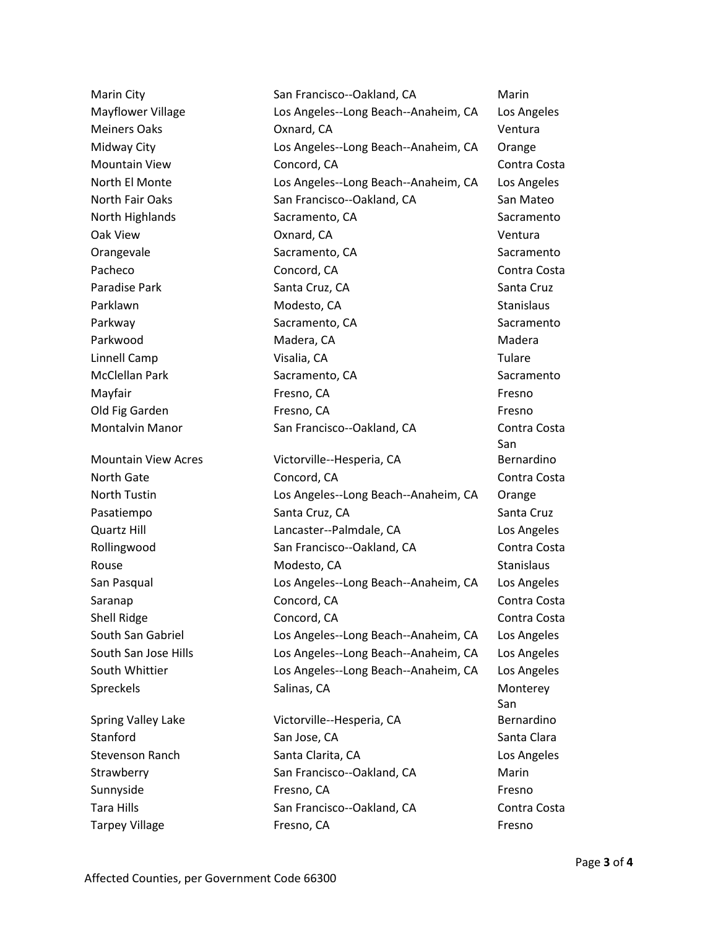Strawberry San Francisco--Oakland, CA Marin Sunnyside **Fresno, CA** Fresno, CA **Fresno**, CA **Fresno** Tara Hills **San Francisco--Oakland, CA** Contra Costa

Marin City **San Francisco--Oakland, CA** Marin Mayflower Village Los Angeles--Long Beach--Anaheim, CA Los Angeles Meiners Oaks Oxnard, CA Ventura Midway City Los Angeles--Long Beach--Anaheim, CA Orange Mountain View Concord, CA Contra Costa North El Monte Los Angeles--Long Beach--Anaheim, CA Los Angeles North Fair Oaks San Francisco--Oakland, CA San Mateo North Highlands Sacramento, CA Sacramento, CA Sacramento, CA Sacramento Oak View Oxnard, CA Ventura Orangevale Sacramento, CA Sacramento, CA Sacramento Pacheco Concord, CA Concord, CA Contra Costa Paradise Park North Cruz, Canta Cruz, CA Cruz, CA Santa Cruz, CA Santa Cruz Parklawn **Modesto, CA Stanislaus** Modesto, CA Parkway **Sacramento, CA** Sacramento, CA Sacramento Parkwood Madera, CA Madera, CA Madera Linnell Camp Visalia, CA Tulare McClellan Park **Sacramento, CA** Sacramento, CA Sacramento, CA Sacramento Mayfair **Fresno, CA** Fresno, CA **Fresno**, CA **Fresno**, CA Old Fig Garden Fresno, CA Fresno, CA Fresno, CA Fresno, CA Fresno, CA Fresno Montalvin Manor San Francisco--Oakland, CA Contra Costa Mountain View Acres Victorville--Hesperia, CA North Gate **Concord, CA** Concord, CA Contra Costa North Tustin Los Angeles--Long Beach--Anaheim, CA Orange Pasatiempo Santa Cruz, CA Santa Cruz, CA Santa Cruz, CA Santa Cruz Quartz Hill Lancaster--Palmdale, CA Los Angeles Rollingwood San Francisco--Oakland, CA Contra Costa Rouse **Modesto, CA** Stanislaus **Modesto, CA** Stanislaus San Pasqual Los Angeles--Long Beach--Anaheim, CA Los Angeles Saranap **Concord, CA** Concord, CA Contra Costa Shell Ridge **Concord, CA** Concord, CA Contra Costa South San Gabriel Los Angeles--Long Beach--Anaheim, CA Los Angeles South San Jose Hills Los Angeles--Long Beach--Anaheim, CA Los Angeles South Whittier Los Angeles--Long Beach--Anaheim, CA Los Angeles Spreckels Salinas, CA Monterey Spring Valley Lake Victorville--Hesperia, CA Stanford San Jose, CA Santa Clara Stevenson Ranch **Santa Clarita, CA** Communist Construction CA Los Angeles

San Bernardino San Bernardino Tarpey Village Table Tresno, CA Fresno, CA Fresno